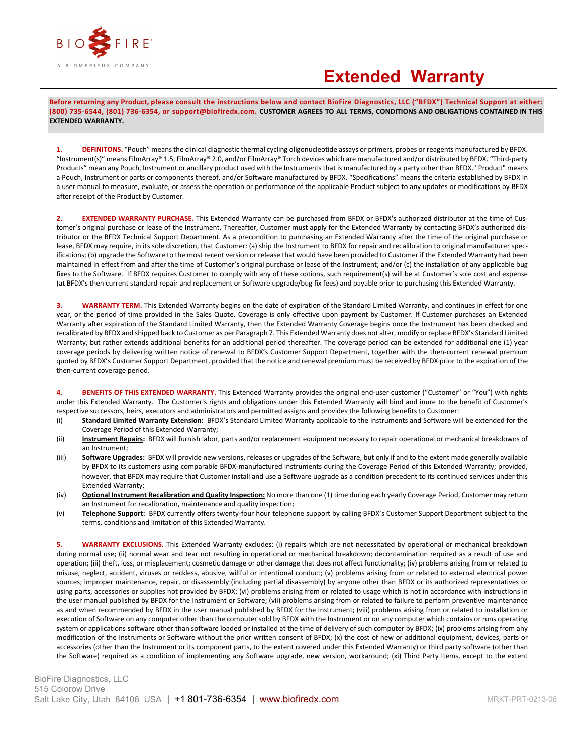

## **Extended Warranty**

**Before returning any Product, please consult the instructions below and contact BioFire Diagnostics, LLC ("BFDX") Technical Support at either: (800) 735-6544, (801) 736-6354, or support@biofiredx.com. CUSTOMER AGREES TO ALL TERMS, CONDITIONS AND OBLIGATIONS CONTAINED IN THIS EXTENDED WARRANTY.**

**1. DEFINITONS.** "Pouch" means the clinical diagnostic thermal cycling oligonucleotide assays or primers, probes or reagents manufactured by BFDX. "Instrument(s)" means FilmArray® 1.5, FilmArray® 2.0, and/or FilmArray® Torch devices which are manufactured and/or distributed by BFDX. "Third-party Products" mean any Pouch, Instrument or ancillary product used with the Instruments that is manufactured by a party other than BFDX. "Product" means a Pouch, Instrument or parts or components thereof, and/or Software manufactured by BFDX. "Specifications" means the criteria established by BFDX in a user manual to measure, evaluate, or assess the operation or performance of the applicable Product subject to any updates or modifications by BFDX after receipt of the Product by Customer.

**2. EXTENDED WARRANTY PURCHASE.** This Extended Warranty can be purchased from BFDX or BFDX's authorized distributor at the time of Customer's original purchase or lease of the Instrument. Thereafter, Customer must apply for the Extended Warranty by contacting BFDX's authorized distributor or the BFDX Technical Support Department. As a precondition to purchasing an Extended Warranty after the time of the original purchase or lease, BFDX may require, in its sole discretion, that Customer: (a) ship the Instrument to BFDX for repair and recalibration to original manufacturer specifications; (b) upgrade the Software to the most recent version or release that would have been provided to Customer if the Extended Warranty had been maintained in effect from and after the time of Customer's original purchase or lease of the Instrument; and/or (c) the installation of any applicable bug fixes to the Software. If BFDX requires Customer to comply with any of these options, such requirement(s) will be at Customer's sole cost and expense (at BFDX's then current standard repair and replacement or Software upgrade/bug fix fees) and payable prior to purchasing this Extended Warranty.

**3. WARRANTY TERM.** This Extended Warranty begins on the date of expiration of the Standard Limited Warranty, and continues in effect for one year, or the period of time provided in the Sales Quote. Coverage is only effective upon payment by Customer. If Customer purchases an Extended Warranty after expiration of the Standard Limited Warranty, then the Extended Warranty Coverage begins once the Instrument has been checked and recalibrated by BFDX and shipped back to Customer as per Paragraph 7. This Extended Warranty does not alter, modify or replace BFDX's Standard Limited Warranty, but rather extends additional benefits for an additional period thereafter. The coverage period can be extended for additional one (1) year coverage periods by delivering written notice of renewal to BFDX's Customer Support Department, together with the then-current renewal premium quoted by BFDX's Customer Support Department, provided that the notice and renewal premium must be received by BFDX prior to the expiration of the then-current coverage period.

**4. BENEFITS OF THIS EXTENDED WARRANTY.** This Extended Warranty provides the original end-user customer ("Customer" or "You") with rights under this Extended Warranty. The Customer's rights and obligations under this Extended Warranty will bind and inure to the benefit of Customer's respective successors, heirs, executors and administrators and permitted assigns and provides the following benefits to Customer:

- (i) **Standard Limited Warranty Extension:** BFDX's Standard Limited Warranty applicable to the Instruments and Software will be extended for the Coverage Period of this Extended Warranty;
- (ii) **Instrument Repairs:** BFDX will furnish labor, parts and/or replacement equipment necessary to repair operational or mechanical breakdowns of an Instrument;
- (iii) **Software Upgrades:** BFDX will provide new versions, releases or upgrades of the Software, but only if and to the extent made generally available by BFDX to its customers using comparable BFDX-manufactured instruments during the Coverage Period of this Extended Warranty; provided, however, that BFDX may require that Customer install and use a Software upgrade as a condition precedent to its continued services under this Extended Warranty;
- (iv) **Optional Instrument Recalibration and Quality Inspection:** No more than one (1) time during each yearly Coverage Period, Customer may return an Instrument for recalibration, maintenance and quality inspection;
- (v) **Telephone Support:** BFDX currently offers twenty-four hour telephone support by calling BFDX's Customer Support Department subject to the terms, conditions and limitation of this Extended Warranty.

**5. WARRANTY EXCLUSIONS.** This Extended Warranty excludes: (i) repairs which are not necessitated by operational or mechanical breakdown during normal use; (ii) normal wear and tear not resulting in operational or mechanical breakdown; decontamination required as a result of use and operation; (iii) theft, loss, or misplacement; cosmetic damage or other damage that does not affect functionality; (iv) problems arising from or related to misuse, neglect, accident, viruses or reckless, abusive, willful or intentional conduct; (v) problems arising from or related to external electrical power sources; improper maintenance, repair, or disassembly (including partial disassembly) by anyone other than BFDX or its authorized representatives or using parts, accessories or supplies not provided by BFDX; (vi) problems arising from or related to usage which is not in accordance with instructions in the user manual published by BFDX for the Instrument or Software; (vii) problems arising from or related to failure to perform preventive maintenance as and when recommended by BFDX in the user manual published by BFDX for the Instrument; (viii) problems arising from or related to installation or execution of Software on any computer other than the computer sold by BFDX with the Instrument or on any computer which contains or runs operating system or applications software other than software loaded or installed at the time of delivery of such computer by BFDX; (ix) problems arising from any modification of the Instruments or Software without the prior written consent of BFDX; (x) the cost of new or additional equipment, devices, parts or accessories (other than the Instrument or its component parts, to the extent covered under this Extended Warranty) or third party software (other than the Software) required as a condition of implementing any Software upgrade, new version, workaround; (xi) Third Party Items, except to the extent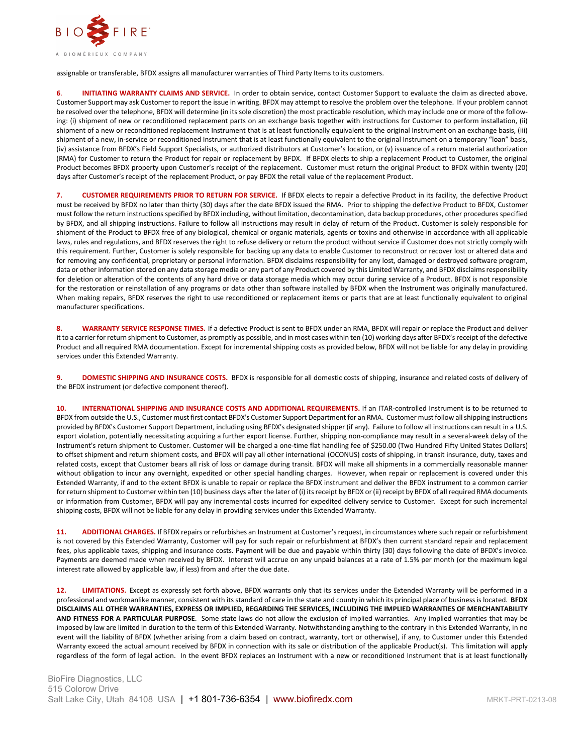

assignable or transferable, BFDX assigns all manufacturer warranties of Third Party Items to its customers.

**6**. **INITIATING WARRANTY CLAIMS AND SERVICE.** In order to obtain service, contact Customer Support to evaluate the claim as directed above. Customer Support may ask Customer to report the issue in writing. BFDX may attempt to resolve the problem over the telephone. If your problem cannot be resolved over the telephone, BFDX will determine (in its sole discretion) the most practicable resolution, which may include one or more of the following: (i) shipment of new or reconditioned replacement parts on an exchange basis together with instructions for Customer to perform installation, (ii) shipment of a new or reconditioned replacement Instrument that is at least functionally equivalent to the original Instrument on an exchange basis, (iii) shipment of a new, in-service or reconditioned Instrument that is at least functionally equivalent to the original Instrument on a temporary "loan" basis, (iv) assistance from BFDX's Field Support Specialists, or authorized distributors at Customer's location, or (v) issuance of a return material authorization (RMA) for Customer to return the Product for repair or replacement by BFDX. If BFDX elects to ship a replacement Product to Customer, the original Product becomes BFDX property upon Customer's receipt of the replacement. Customer must return the original Product to BFDX within twenty (20) days after Customer's receipt of the replacement Product, or pay BFDX the retail value of the replacement Product.

**7. CUSTOMER REQUIREMENTS PRIOR TO RETURN FOR SERVICE.** If BFDX elects to repair a defective Product in its facility, the defective Product must be received by BFDX no later than thirty (30) days after the date BFDX issued the RMA. Prior to shipping the defective Product to BFDX, Customer must follow the return instructions specified by BFDX including, without limitation, decontamination, data backup procedures, other procedures specified by BFDX, and all shipping instructions. Failure to follow all instructions may result in delay of return of the Product. Customer is solely responsible for shipment of the Product to BFDX free of any biological, chemical or organic materials, agents or toxins and otherwise in accordance with all applicable laws, rules and regulations, and BFDX reserves the right to refuse delivery or return the product without service if Customer does not strictly comply with this requirement. Further, Customer is solely responsible for backing up any data to enable Customer to reconstruct or recover lost or altered data and for removing any confidential, proprietary or personal information. BFDX disclaims responsibility for any lost, damaged or destroyed software program, data or other information stored on any data storage media or any part of any Product covered by this Limited Warranty, and BFDX disclaims responsibility for deletion or alteration of the contents of any hard drive or data storage media which may occur during service of a Product. BFDX is not responsible for the restoration or reinstallation of any programs or data other than software installed by BFDX when the Instrument was originally manufactured. When making repairs, BFDX reserves the right to use reconditioned or replacement items or parts that are at least functionally equivalent to original manufacturer specifications.

**8. WARRANTY SERVICE RESPONSE TIMES.** If a defective Product is sent to BFDX under an RMA, BFDX will repair or replace the Product and deliver it to a carrier for return shipment to Customer, as promptly as possible, and in most cases within ten (10) working days after BFDX's receipt of the defective Product and all required RMA documentation. Except for incremental shipping costs as provided below, BFDX will not be liable for any delay in providing services under this Extended Warranty.

**9. DOMESTIC SHIPPING AND INSURANCE COSTS.** BFDX is responsible for all domestic costs of shipping, insurance and related costs of delivery of the BFDX instrument (or defective component thereof).

**10. INTERNATIONAL SHIPPING AND INSURANCE COSTS AND ADDITIONAL REQUIREMENTS.** If an ITAR-controlled Instrument is to be returned to BFDX from outside the U.S., Customer must first contact BFDX's Customer Support Department for an RMA. Customer must follow all shipping instructions provided by BFDX's Customer Support Department, including using BFDX's designated shipper (if any). Failure to follow all instructions can result in a U.S. export violation, potentially necessitating acquiring a further export license. Further, shipping non-compliance may result in a several-week delay of the Instrument's return shipment to Customer. Customer will be charged a one-time flat handling fee of \$250.00 (Two Hundred Fifty United States Dollars) to offset shipment and return shipment costs, and BFDX will pay all other international (OCONUS) costs of shipping, in transit insurance, duty, taxes and related costs, except that Customer bears all risk of loss or damage during transit. BFDX will make all shipments in a commercially reasonable manner without obligation to incur any overnight, expedited or other special handling charges. However, when repair or replacement is covered under this Extended Warranty, if and to the extent BFDX is unable to repair or replace the BFDX instrument and deliver the BFDX instrument to a common carrier for return shipment to Customer within ten (10) business days after the later of (i) its receipt by BFDX or (ii) receipt by BFDX of all required RMA documents or information from Customer, BFDX will pay any incremental costs incurred for expedited delivery service to Customer. Except for such incremental shipping costs, BFDX will not be liable for any delay in providing services under this Extended Warranty.

**11. ADDITIONAL CHARGES.** If BFDX repairs or refurbishes an Instrument at Customer's request, in circumstances where such repair or refurbishment is not covered by this Extended Warranty, Customer will pay for such repair or refurbishment at BFDX's then current standard repair and replacement fees, plus applicable taxes, shipping and insurance costs. Payment will be due and payable within thirty (30) days following the date of BFDX's invoice. Payments are deemed made when received by BFDX. Interest will accrue on any unpaid balances at a rate of 1.5% per month (or the maximum legal interest rate allowed by applicable law, if less) from and after the due date.

12. LIMITATIONS. Except as expressly set forth above, BFDX warrants only that its services under the Extended Warranty will be performed in a professional and workmanlike manner, consistent with itsstandard of care in the state and county in which its principal place of business is located. **BFDX DISCLAIMS ALL OTHER WARRANTIES, EXPRESS OR IMPLIED, REGARDING THE SERVICES, INCLUDING THE IMPLIED WARRANTIES OF MERCHANTABILITY AND FITNESS FOR A PARTICULAR PURPOSE**. Some state laws do not allow the exclusion of implied warranties. Any implied warranties that may be imposed by law are limited in duration to the term of this Extended Warranty. Notwithstanding anything to the contrary in this Extended Warranty, in no event will the liability of BFDX (whether arising from a claim based on contract, warranty, tort or otherwise), if any, to Customer under this Extended Warranty exceed the actual amount received by BFDX in connection with its sale or distribution of the applicable Product(s). This limitation will apply regardless of the form of legal action. In the event BFDX replaces an Instrument with a new or reconditioned Instrument that is at least functionally